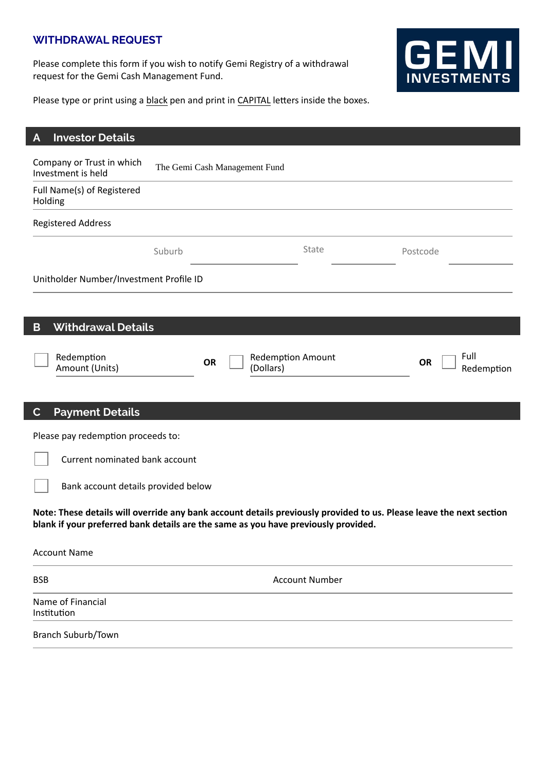## **WITHDRAWAL REQUEST**

Please complete this form if you wish to notify Gemi Registry of a withdrawal request for the Gemi Cash Management Fund.



Please type or print using a black pen and print in CAPITAL letters inside the boxes.

| <b>Investor Details</b><br>A                                                                                                                                                                              |                               |                                       |                       |           |                    |
|-----------------------------------------------------------------------------------------------------------------------------------------------------------------------------------------------------------|-------------------------------|---------------------------------------|-----------------------|-----------|--------------------|
| Company or Trust in which<br>Investment is held                                                                                                                                                           | The Gemi Cash Management Fund |                                       |                       |           |                    |
| Full Name(s) of Registered<br>Holding                                                                                                                                                                     |                               |                                       |                       |           |                    |
| <b>Registered Address</b>                                                                                                                                                                                 |                               |                                       |                       |           |                    |
|                                                                                                                                                                                                           | Suburb                        |                                       | State                 | Postcode  |                    |
| Unitholder Number/Investment Profile ID                                                                                                                                                                   |                               |                                       |                       |           |                    |
|                                                                                                                                                                                                           |                               |                                       |                       |           |                    |
| <b>Withdrawal Details</b><br>B                                                                                                                                                                            |                               |                                       |                       |           |                    |
| Redemption<br>Amount (Units)                                                                                                                                                                              | OR                            | <b>Redemption Amount</b><br>(Dollars) |                       | <b>OR</b> | Full<br>Redemption |
| <b>Payment Details</b><br>$\mathbf{C}$                                                                                                                                                                    |                               |                                       |                       |           |                    |
| Please pay redemption proceeds to:                                                                                                                                                                        |                               |                                       |                       |           |                    |
| Current nominated bank account                                                                                                                                                                            |                               |                                       |                       |           |                    |
| Bank account details provided below                                                                                                                                                                       |                               |                                       |                       |           |                    |
| Note: These details will override any bank account details previously provided to us. Please leave the next section<br>blank if your preferred bank details are the same as you have previously provided. |                               |                                       |                       |           |                    |
| <b>Account Name</b>                                                                                                                                                                                       |                               |                                       |                       |           |                    |
| <b>BSB</b>                                                                                                                                                                                                |                               |                                       | <b>Account Number</b> |           |                    |
| Name of Financial<br>Institution                                                                                                                                                                          |                               |                                       |                       |           |                    |
| Branch Suburb/Town                                                                                                                                                                                        |                               |                                       |                       |           |                    |